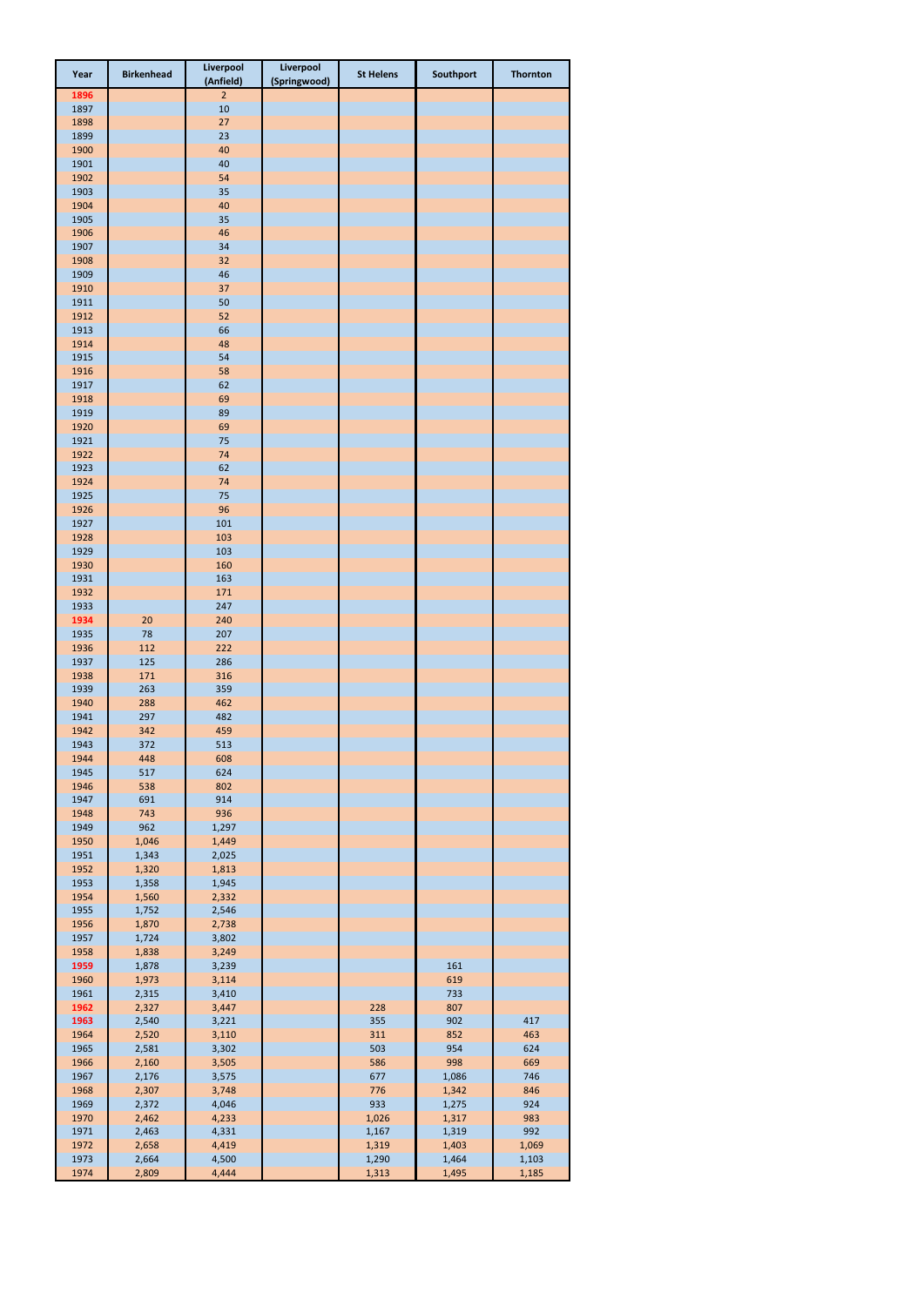| Year         | <b>Birkenhead</b> | Liverpool<br>(Anfield) | Liverpool<br>(Springwood) | <b>St Helens</b> | Southport      | <b>Thornton</b> |
|--------------|-------------------|------------------------|---------------------------|------------------|----------------|-----------------|
| 1896         |                   | $\overline{2}$         |                           |                  |                |                 |
| 1897         |                   | 10                     |                           |                  |                |                 |
| 1898<br>1899 |                   | 27<br>23               |                           |                  |                |                 |
| 1900         |                   | 40                     |                           |                  |                |                 |
| 1901         |                   | 40                     |                           |                  |                |                 |
| 1902         |                   | 54                     |                           |                  |                |                 |
| 1903         |                   | 35                     |                           |                  |                |                 |
| 1904<br>1905 |                   | 40<br>35               |                           |                  |                |                 |
| 1906         |                   | 46                     |                           |                  |                |                 |
| 1907         |                   | 34                     |                           |                  |                |                 |
| 1908         |                   | 32                     |                           |                  |                |                 |
| 1909         |                   | 46                     |                           |                  |                |                 |
| 1910<br>1911 |                   | 37<br>50               |                           |                  |                |                 |
| 1912         |                   | 52                     |                           |                  |                |                 |
| 1913         |                   | 66                     |                           |                  |                |                 |
| 1914         |                   | 48                     |                           |                  |                |                 |
| 1915         |                   | 54                     |                           |                  |                |                 |
| 1916<br>1917 |                   | 58<br>62               |                           |                  |                |                 |
| 1918         |                   | 69                     |                           |                  |                |                 |
| 1919         |                   | 89                     |                           |                  |                |                 |
| 1920         |                   | 69                     |                           |                  |                |                 |
| 1921         |                   | 75                     |                           |                  |                |                 |
| 1922         |                   | 74                     |                           |                  |                |                 |
| 1923<br>1924 |                   | 62<br>74               |                           |                  |                |                 |
| 1925         |                   | 75                     |                           |                  |                |                 |
| 1926         |                   | 96                     |                           |                  |                |                 |
| 1927         |                   | 101                    |                           |                  |                |                 |
| 1928         |                   | 103                    |                           |                  |                |                 |
| 1929         |                   | 103                    |                           |                  |                |                 |
| 1930<br>1931 |                   | 160<br>163             |                           |                  |                |                 |
| 1932         |                   | 171                    |                           |                  |                |                 |
| 1933         |                   | 247                    |                           |                  |                |                 |
| 1934         | 20                | 240                    |                           |                  |                |                 |
| 1935         | 78                | 207                    |                           |                  |                |                 |
| 1936<br>1937 | 112<br>125        | 222<br>286             |                           |                  |                |                 |
| 1938         | 171               | 316                    |                           |                  |                |                 |
| 1939         | 263               | 359                    |                           |                  |                |                 |
| 1940         | 288               | 462                    |                           |                  |                |                 |
| 1941         | 297               | 482                    |                           |                  |                |                 |
| 1942<br>1943 | 342               | 459<br>513             |                           |                  |                |                 |
| 1944         | 372<br>448        | 608                    |                           |                  |                |                 |
| 1945         | 517               | 624                    |                           |                  |                |                 |
| 1946         | 538               | 802                    |                           |                  |                |                 |
| 1947         | 691               | 914                    |                           |                  |                |                 |
| 1948         | 743               | 936                    |                           |                  |                |                 |
| 1949<br>1950 | 962<br>1,046      | 1,297<br>1,449         |                           |                  |                |                 |
| 1951         | 1,343             | 2,025                  |                           |                  |                |                 |
| 1952         | 1,320             | 1,813                  |                           |                  |                |                 |
| 1953         | 1,358             | 1,945                  |                           |                  |                |                 |
| 1954         | 1,560             | 2,332                  |                           |                  |                |                 |
| 1955<br>1956 | 1,752<br>1,870    | 2,546<br>2,738         |                           |                  |                |                 |
| 1957         | 1,724             | 3,802                  |                           |                  |                |                 |
| 1958         | 1,838             | 3,249                  |                           |                  |                |                 |
| 1959         | 1,878             | 3,239                  |                           |                  | 161            |                 |
| 1960         | 1,973             | 3,114                  |                           |                  | 619            |                 |
| 1961<br>1962 | 2,315<br>2,327    | 3,410<br>3,447         |                           | 228              | 733<br>807     |                 |
| 1963         | 2,540             | 3,221                  |                           | 355              | 902            | 417             |
| 1964         | 2,520             | 3,110                  |                           | 311              | 852            | 463             |
| 1965         | 2,581             | 3,302                  |                           | 503              | 954            | 624             |
| 1966         | 2,160             | 3,505                  |                           | 586              | 998            | 669             |
| 1967<br>1968 | 2,176<br>2,307    | 3,575<br>3,748         |                           | 677<br>776       | 1,086<br>1,342 | 746<br>846      |
| 1969         | 2,372             | 4,046                  |                           | 933              | 1,275          | 924             |
| 1970         | 2,462             | 4,233                  |                           | 1,026            | 1,317          | 983             |
| 1971         | 2,463             | 4,331                  |                           | 1,167            | 1,319          | 992             |
| 1972         | 2,658             | 4,419                  |                           | 1,319            | 1,403          | 1,069           |
| 1973         | 2,664             | 4,500                  |                           | 1,290            | 1,464          | 1,103           |
| 1974         | 2,809             | 4,444                  |                           | 1,313            | 1,495          | 1,185           |